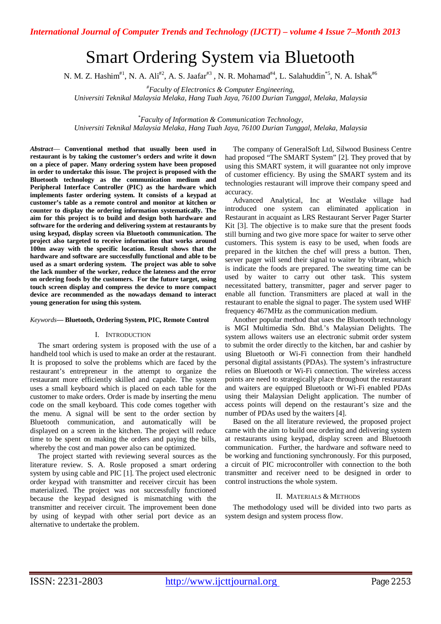# Smart Ordering System via Bluetooth

N. M. Z. Hashim<sup>#1</sup>, N. A. Ali<sup>#2</sup>, A. S. Jaafar<sup>#3</sup>, N. R. Mohamad<sup>#4</sup>, L. Salahuddin<sup>\*5</sup>, N. A. Ishak<sup>#6</sup>

*#Faculty of Electronics & Computer Engineering,* 

*Universiti Teknikal Malaysia Melaka, Hang Tuah Jaya, 76100 Durian Tunggal, Melaka, Malaysia*

*\*Faculty of Information & Communication Technology, Universiti Teknikal Malaysia Melaka, Hang Tuah Jaya, 76100 Durian Tunggal, Melaka, Malaysia*

*Abstract*— **Conventional method that usually been used in restaurant is by taking the customer's orders and write it down on a piece of paper. Many ordering system have been proposed in order to undertake this issue. The project is proposed with the Bluetooth technology as the communication medium and Peripheral Interface Controller (PIC) as the hardware which implements faster ordering system. It consists of a keypad at customer's table as a remote control and monitor at kitchen or counter to display the ordering information systematically. The aim for this project is to build and design both hardware and software for the ordering and delivering system at restaurants by using keypad, display screen via Bluetooth communication. The project also targeted to receive information that works around 100m away with the specific location. Result shows that the hardware and software are successfully functional and able to be used as a smart ordering system. The project was able to solve the lack number of the worker, reduce the lateness and the error on ordering foods by the customers. For the future target, using touch screen display and compress the device to more compact device are recommended as the nowadays demand to interact young generation for using this system.** 

#### *Keywords***— Bluetooth, Ordering System, PIC, Remote Control**

#### I. INTRODUCTION

The smart ordering system is proposed with the use of a handheld tool which is used to make an order at the restaurant. It is proposed to solve the problems which are faced by the restaurant's entrepreneur in the attempt to organize the restaurant more efficiently skilled and capable. The system uses a small keyboard which is placed on each table for the customer to make orders. Order is made by inserting the menu code on the small keyboard. This code comes together with the menu. A signal will be sent to the order section by Bluetooth communication, and automatically will be displayed on a screen in the kitchen. The project will reduce time to be spent on making the orders and paying the bills, whereby the cost and man power also can be optimized.

The project started with reviewing several sources as the literature review. S. A. Rosle proposed a smart ordering system by using cable and PIC [1]. The project used electronic order keypad with transmitter and receiver circuit has been materialized. The project was not successfully functioned because the keypad designed is mismatching with the transmitter and receiver circuit. The improvement been done by using of keypad with other serial port device as an alternative to undertake the problem.

The company of GeneralSoft Ltd, Silwood Business Centre had proposed "The SMART System" [2]. They proved that by using this SMART system, it will guarantee not only improve of customer efficiency. By using the SMART system and its technologies restaurant will improve their company speed and accuracy.

Advanced Analytical, Inc at Westlake village had introduced one system can eliminated application in Restaurant in acquaint as LRS Restaurant Server Pager Starter Kit [3]. The objective is to make sure that the present foods still burning and two give more space for waiter to serve other customers. This system is easy to be used, when foods are prepared in the kitchen the chef will press a button. Then, server pager will send their signal to waiter by vibrant, which is indicate the foods are prepared. The sweating time can be used by waiter to carry out other task. This system necessitated battery, transmitter, pager and server pager to enable all function. Transmitters are placed at wall in the restaurant to enable the signal to pager. The system used WHF frequency 467MHz as the communication medium.

Another popular method that uses the Bluetooth technology is MGI Multimedia Sdn. Bhd.'s Malaysian Delights. The system allows waiters use an electronic submit order system to submit the order directly to the kitchen, bar and cashier by using Bluetooth or Wi-Fi connection from their handheld personal digital assistants (PDAs). The system's infrastructure relies on Bluetooth or Wi-Fi connection. The wireless access points are need to strategically place throughout the restaurant and waiters are equipped Bluetooth or Wi-Fi enabled PDAs using their Malaysian Delight application. The number of access points will depend on the restaurant's size and the number of PDAs used by the waiters [4].

Based on the all literature reviewed, the proposed project came with the aim to build one ordering and delivering system at restaurants using keypad, display screen and Bluetooth communication. Further, the hardware and software need to be working and functioning synchronously. For this purposed, a circuit of PIC microcontroller with connection to the both transmitter and receiver need to be designed in order to control instructions the whole system.

#### II. MATERIALS & METHODS

The methodology used will be divided into two parts as system design and system process flow.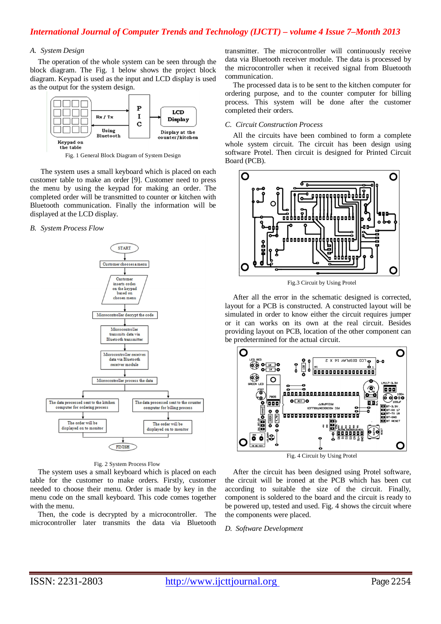# *A. System Design*

The operation of the whole system can be seen through the block diagram. The Fig. 1 below shows the project block diagram. Keypad is used as the input and LCD display is used as the output for the system design.



Fig. 1 General Block Diagram of System Design

The system uses a small keyboard which is placed on each customer table to make an order [9]. Customer need to press the menu by using the keypad for making an order. The completed order will be transmitted to counter or kitchen with Bluetooth communication. Finally the information will be displayed at the LCD display.

#### *B. System Process Flow*



#### Fig. 2 System Process Flow

The system uses a small keyboard which is placed on each table for the customer to make orders. Firstly, customer needed to choose their menu. Order is made by key in the menu code on the small keyboard. This code comes together with the menu.

Then, the code is decrypted by a microcontroller. The microcontroller later transmits the data via Bluetooth transmitter. The microcontroller will continuously receive data via Bluetooth receiver module. The data is processed by the microcontroller when it received signal from Bluetooth communication.

The processed data is to be sent to the kitchen computer for ordering purpose, and to the counter computer for billing process. This system will be done after the customer completed their orders.

### *C. Circuit Construction Process*

All the circuits have been combined to form a complete whole system circuit. The circuit has been design using software Protel. Then circuit is designed for Printed Circuit Board (PCB).



Fig.3 Circuit by Using Protel

After all the error in the schematic designed is corrected, layout for a PCB is constructed. A constructed layout will be simulated in order to know either the circuit requires jumper or it can works on its own at the real circuit. Besides providing layout on PCB, location of the other component can be predetermined for the actual circuit.



Fig. 4 Circuit by Using Protel

After the circuit has been designed using Protel software, the circuit will be ironed at the PCB which has been cut according to suitable the size of the circuit. Finally, component is soldered to the board and the circuit is ready to be powered up, tested and used. Fig. 4 shows the circuit where the components were placed.

# *D. Software Development*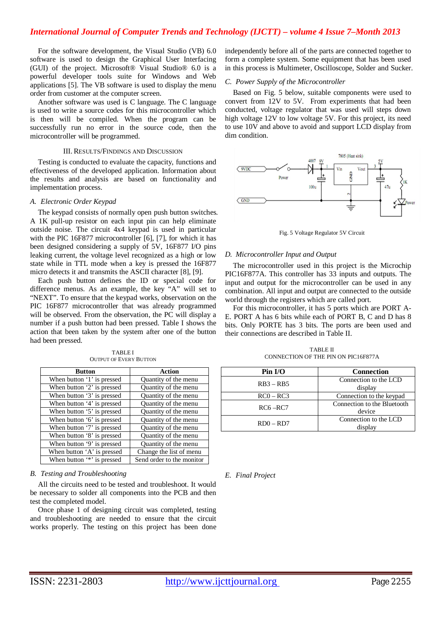# *International Journal of Computer Trends and Technology (IJCTT) – volume 4 Issue 7–Month 2013*

For the software development, the Visual Studio (VB) 6.0 software is used to design the Graphical User Interfacing (GUI) of the project. Microsoft® Visual Studio® 6.0 is a powerful developer tools suite for Windows and Web applications [5]. The VB software is used to display the menu order from customer at the computer screen.

Another software was used is C language. The C language is used to write a source codes for this microcontroller which is then will be compiled. When the program can be successfully run no error in the source code, then the microcontroller will be programmed.

#### III. RESULTS/FINDINGS AND DISCUSSION

Testing is conducted to evaluate the capacity, functions and effectiveness of the developed application. Information about the results and analysis are based on functionality and implementation process.

#### *A. Electronic Order Keypad*

The keypad consists of normally open push button switches. A 1K pull-up resistor on each input pin can help eliminate outside noise. The circuit 4x4 keypad is used in particular with the PIC 16F877 microcontroller [6], [7], for which it has been designed considering a supply of 5V, 16F877 I/O pins leaking current, the voltage level recognized as a high or low state while in TTL mode when a key is pressed the 16F877 micro detects it and transmits the ASCII character [8], [9].

Each push button defines the ID or special code for difference menus. As an example, the key "A" will set to "NEXT". To ensure that the keypad works, observation on the PIC 16F877 microcontroller that was already programmed will be observed. From the observation, the PC will display a number if a push button had been pressed. Table I shows the action that been taken by the system after one of the button had been pressed.

| Button                     | Action                    |  |
|----------------------------|---------------------------|--|
| When button '1' is pressed | Quantity of the menu      |  |
| When button '2' is pressed | Quantity of the menu      |  |
| When button '3' is pressed | Quantity of the menu      |  |
| When button '4' is pressed | Quantity of the menu      |  |
| When button '5' is pressed | Quantity of the menu      |  |
| When button '6' is pressed | Quantity of the menu      |  |
| When button '7' is pressed | Quantity of the menu      |  |
| When button '8' is pressed | Quantity of the menu      |  |
| When button '9' is pressed | Quantity of the menu      |  |
| When button 'A' is pressed | Change the list of menu   |  |
| When button '*' is pressed | Send order to the monitor |  |

TABLE I OUTPUT OF EVERY BUTTON

#### *B. Testing and Troubleshooting*

All the circuits need to be tested and troubleshoot. It would be necessary to solder all components into the PCB and then test the completed model.

Once phase 1 of designing circuit was completed, testing and troubleshooting are needed to ensure that the circuit works properly. The testing on this project has been done independently before all of the parts are connected together to form a complete system. Some equipment that has been used in this process is Multimeter, Oscilloscope, Solder and Sucker.

#### *C. Power Supply of the Microcontroller*

Based on Fig. 5 below, suitable components were used to convert from 12V to 5V. From experiments that had been conducted, voltage regulator that was used will steps down high voltage 12V to low voltage 5V. For this project, its need to use 10V and above to avoid and support LCD display from dim condition.



Fig. 5 Voltage Regulator 5V Circuit

#### *D. Microcontroller Input and Output*

The microcontroller used in this project is the Microchip PIC16F877A. This controller has 33 inputs and outputs. The input and output for the microcontroller can be used in any combination. All input and output are connected to the outside world through the registers which are called port.

For this microcontroller, it has 5 ports which are PORT A-E. PORT A has 6 bits while each of PORT B, C and D has 8 bits. Only PORTE has 3 bits. The ports are been used and their connections are described in Table II.

TABLE II CONNECTION OF THE PIN ON PIC16F877A

| $Pin$ $U$ O | <b>Connection</b>                     |  |
|-------------|---------------------------------------|--|
| $RB3 - RB5$ | Connection to the LCD<br>display      |  |
| $RC0 - RC3$ | Connection to the keypad              |  |
| $RC6 - RC7$ | Connection to the Bluetooth<br>device |  |
| $RD0 - RD7$ | Connection to the LCD<br>display      |  |

*E. Final Project*